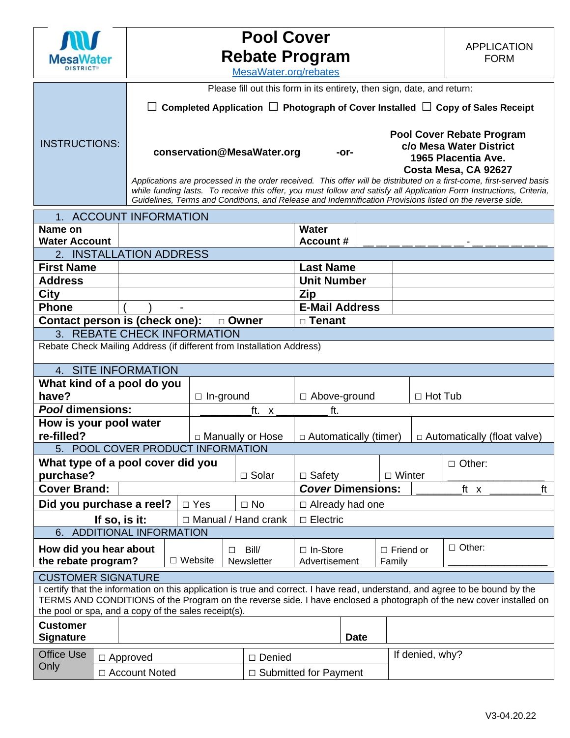

# **Pool Cover Rebate Program**

| <u><b>IVICSAVVALEI</b></u><br><b>DISTRICT®</b>                          |                                             | nonalo i Togrami<br>MesaWater.org/rebates                                                                                                                                                                                        |                            |                              | ועוגוע ו      |                |                                    |  |  |  |  |
|-------------------------------------------------------------------------|---------------------------------------------|----------------------------------------------------------------------------------------------------------------------------------------------------------------------------------------------------------------------------------|----------------------------|------------------------------|---------------|----------------|------------------------------------|--|--|--|--|
| Please fill out this form in its entirety, then sign, date, and return: |                                             |                                                                                                                                                                                                                                  |                            |                              |               |                |                                    |  |  |  |  |
|                                                                         |                                             | $\Box$ Completed Application $\Box$ Photograph of Cover Installed $\Box$ Copy of Sales Receipt                                                                                                                                   |                            |                              |               |                |                                    |  |  |  |  |
|                                                                         |                                             |                                                                                                                                                                                                                                  |                            |                              |               |                |                                    |  |  |  |  |
|                                                                         |                                             |                                                                                                                                                                                                                                  |                            |                              |               |                | <b>Pool Cover Rebate Program</b>   |  |  |  |  |
| <b>INSTRUCTIONS:</b>                                                    |                                             |                                                                                                                                                                                                                                  | conservation@MesaWater.org | -or-                         |               |                | c/o Mesa Water District            |  |  |  |  |
|                                                                         | 1965 Placentia Ave.<br>Costa Mesa, CA 92627 |                                                                                                                                                                                                                                  |                            |                              |               |                |                                    |  |  |  |  |
|                                                                         |                                             | Applications are processed in the order received. This offer will be distributed on a first-come, first-served basis                                                                                                             |                            |                              |               |                |                                    |  |  |  |  |
|                                                                         |                                             | while funding lasts. To receive this offer, you must follow and satisfy all Application Form Instructions, Criteria,<br>Guidelines, Terms and Conditions, and Release and Indemnification Provisions listed on the reverse side. |                            |                              |               |                |                                    |  |  |  |  |
| 1. ACCOUNT INFORMATION                                                  |                                             |                                                                                                                                                                                                                                  |                            |                              |               |                |                                    |  |  |  |  |
| Name on                                                                 |                                             |                                                                                                                                                                                                                                  |                            | <b>Water</b>                 |               |                |                                    |  |  |  |  |
| <b>Water Account</b>                                                    |                                             |                                                                                                                                                                                                                                  |                            | <b>Account #</b>             |               |                |                                    |  |  |  |  |
| 2. INSTALLATION ADDRESS                                                 |                                             |                                                                                                                                                                                                                                  |                            |                              |               |                |                                    |  |  |  |  |
| <b>First Name</b>                                                       |                                             |                                                                                                                                                                                                                                  |                            | <b>Last Name</b>             |               |                |                                    |  |  |  |  |
| <b>Address</b>                                                          |                                             |                                                                                                                                                                                                                                  |                            | <b>Unit Number</b>           |               |                |                                    |  |  |  |  |
| <b>City</b>                                                             |                                             |                                                                                                                                                                                                                                  |                            | Zip                          |               |                |                                    |  |  |  |  |
| <b>Phone</b>                                                            |                                             |                                                                                                                                                                                                                                  |                            | <b>E-Mail Address</b>        |               |                |                                    |  |  |  |  |
| Contact person is (check one):<br>□ Tenant<br>□ Owner                   |                                             |                                                                                                                                                                                                                                  |                            |                              |               |                |                                    |  |  |  |  |
|                                                                         | 3. REBATE CHECK INFORMATION                 |                                                                                                                                                                                                                                  |                            |                              |               |                |                                    |  |  |  |  |
| Rebate Check Mailing Address (if different from Installation Address)   |                                             |                                                                                                                                                                                                                                  |                            |                              |               |                |                                    |  |  |  |  |
| 4. SITE INFORMATION                                                     |                                             |                                                                                                                                                                                                                                  |                            |                              |               |                |                                    |  |  |  |  |
| What kind of a pool do you                                              |                                             |                                                                                                                                                                                                                                  |                            |                              |               |                |                                    |  |  |  |  |
| have?                                                                   |                                             | $\Box$ In-ground                                                                                                                                                                                                                 |                            | □ Above-ground               |               | $\Box$ Hot Tub |                                    |  |  |  |  |
| <b>Pool dimensions:</b>                                                 |                                             | ft. x                                                                                                                                                                                                                            |                            | ft.                          |               |                |                                    |  |  |  |  |
| How is your pool water                                                  |                                             |                                                                                                                                                                                                                                  |                            |                              |               |                |                                    |  |  |  |  |
| re-filled?<br>5. POOL COVER PRODUCT INFORMATION                         |                                             | □ Manually or Hose                                                                                                                                                                                                               |                            | $\Box$ Automatically (timer) |               |                | $\Box$ Automatically (float valve) |  |  |  |  |
| What type of a pool cover did you<br>$\Box$ Other:                      |                                             |                                                                                                                                                                                                                                  |                            |                              |               |                |                                    |  |  |  |  |
| purchase?                                                               |                                             |                                                                                                                                                                                                                                  | $\Box$ Solar               | $\Box$ Safety                | $\Box$ Winter |                |                                    |  |  |  |  |

| How did you hear about<br>the rebate program?                                                                                                                                                                                                                                                                |                      | $\Box$ Website | Bill/<br>П<br><b>Newsletter</b> | $\Box$ In-Store<br>Advertisement |             | $\Box$ Friend or<br>Family | $\Box$ Other: |  |  |  |
|--------------------------------------------------------------------------------------------------------------------------------------------------------------------------------------------------------------------------------------------------------------------------------------------------------------|----------------------|----------------|---------------------------------|----------------------------------|-------------|----------------------------|---------------|--|--|--|
| <b>CUSTOMER SIGNATURE</b>                                                                                                                                                                                                                                                                                    |                      |                |                                 |                                  |             |                            |               |  |  |  |
| I certify that the information on this application is true and correct. I have read, understand, and agree to be bound by the<br>TERMS AND CONDITIONS of the Program on the reverse side. I have enclosed a photograph of the new cover installed on<br>the pool or spa, and a copy of the sales receipt(s). |                      |                |                                 |                                  |             |                            |               |  |  |  |
| <b>Customer</b><br><b>Signature</b>                                                                                                                                                                                                                                                                          |                      |                |                                 |                                  | <b>Date</b> |                            |               |  |  |  |
| <b>Office Use</b><br>Only                                                                                                                                                                                                                                                                                    | $\Box$ Approved      |                |                                 | Denied                           |             | If denied, why?            |               |  |  |  |
|                                                                                                                                                                                                                                                                                                              | $\Box$ Account Noted |                |                                 | $\Box$ Submitted for Payment     |             |                            |               |  |  |  |

**Cover Brand: Cover Dimensions:**  $\begin{array}{ccccccccc}\n\hline\n\end{array}$  **Cover Dimensions:**  $\begin{array}{ccccccccc}\n\hline\n\end{array}$  tt x

**Did you purchase a reel?**  $\Box$  Yes  $\Box$  No  $\Box$  Already had one **If so, is it:** □ Manual / Hand crank □ Electric

6. ADDITIONAL INFORMATION